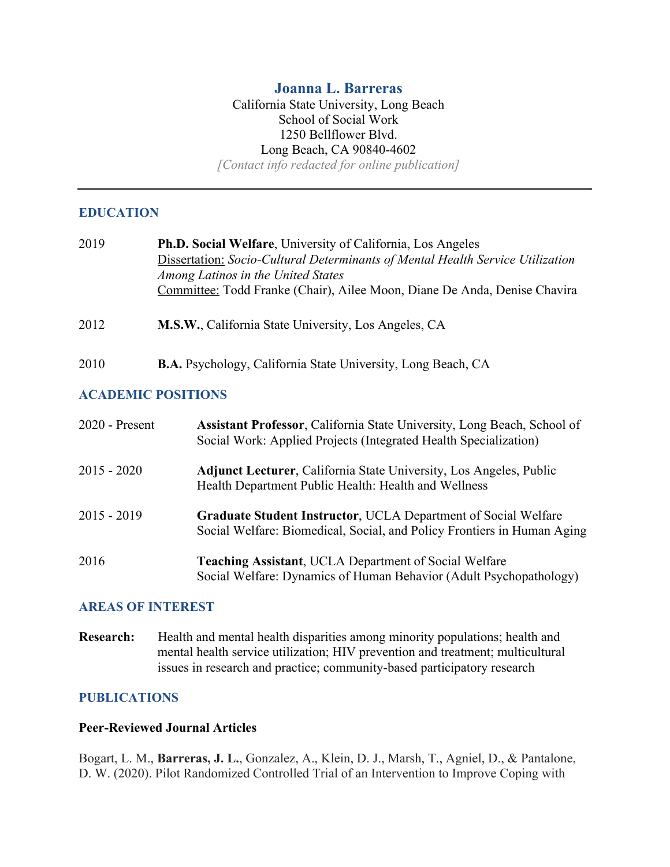# **Joanna L. Barreras**

### California State University, Long Beach School of Social Work 1250 Bellflower Blvd. Long Beach, CA 90840-4602 *[Contact info redacted for online publication]*

## **EDUCATION**

| 2019                      | <b>Ph.D. Social Welfare, University of California, Los Angeles</b><br>Dissertation: Socio-Cultural Determinants of Mental Health Service Utilization<br>Among Latinos in the United States<br>Committee: Todd Franke (Chair), Ailee Moon, Diane De Anda, Denise Chavira |
|---------------------------|-------------------------------------------------------------------------------------------------------------------------------------------------------------------------------------------------------------------------------------------------------------------------|
| 2012                      | M.S.W., California State University, Los Angeles, CA                                                                                                                                                                                                                    |
| 2010                      | <b>B.A.</b> Psychology, California State University, Long Beach, CA                                                                                                                                                                                                     |
| <b>ACADEMIC POSITIONS</b> |                                                                                                                                                                                                                                                                         |

| $2020$ - Present | Assistant Professor, California State University, Long Beach, School of<br>Social Work: Applied Projects (Integrated Health Specialization)      |
|------------------|--------------------------------------------------------------------------------------------------------------------------------------------------|
| $2015 - 2020$    | <b>Adjunct Lecturer, California State University, Los Angeles, Public</b><br>Health Department Public Health: Health and Wellness                |
| $2015 - 2019$    | <b>Graduate Student Instructor, UCLA Department of Social Welfare</b><br>Social Welfare: Biomedical, Social, and Policy Frontiers in Human Aging |
| 2016             | <b>Teaching Assistant, UCLA Department of Social Welfare</b><br>Social Welfare: Dynamics of Human Behavior (Adult Psychopathology)               |

### **AREAS OF INTEREST**

**Research:** Health and mental health disparities among minority populations; health and mental health service utilization; HIV prevention and treatment; multicultural issues in research and practice; community-based participatory research

### **PUBLICATIONS**

### **Peer-Reviewed Journal Articles**

Bogart, L. M., **Barreras, J. L.**, Gonzalez, A., Klein, D. J., Marsh, T., Agniel, D., & Pantalone, D. W. (2020). Pilot Randomized Controlled Trial of an Intervention to Improve Coping with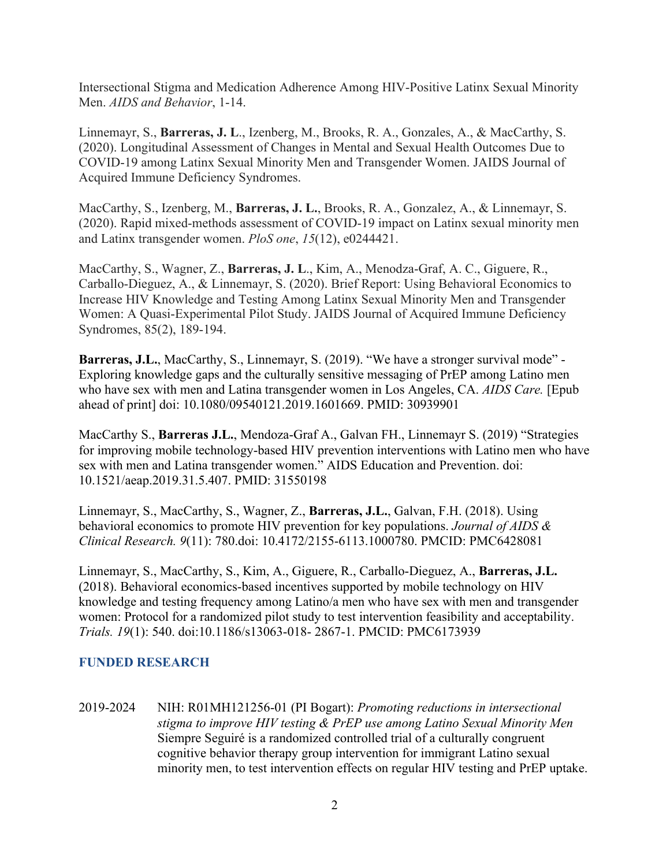Intersectional Stigma and Medication Adherence Among HIV-Positive Latinx Sexual Minority Men. *AIDS and Behavior*, 1-14.

Linnemayr, S., **Barreras, J. L**., Izenberg, M., Brooks, R. A., Gonzales, A., & MacCarthy, S. (2020). Longitudinal Assessment of Changes in Mental and Sexual Health Outcomes Due to COVID-19 among Latinx Sexual Minority Men and Transgender Women. JAIDS Journal of Acquired Immune Deficiency Syndromes.

MacCarthy, S., Izenberg, M., **Barreras, J. L.**, Brooks, R. A., Gonzalez, A., & Linnemayr, S. (2020). Rapid mixed-methods assessment of COVID-19 impact on Latinx sexual minority men and Latinx transgender women. *PloS one*, *15*(12), e0244421.

MacCarthy, S., Wagner, Z., **Barreras, J. L**., Kim, A., Menodza-Graf, A. C., Giguere, R., Carballo-Dieguez, A., & Linnemayr, S. (2020). Brief Report: Using Behavioral Economics to Increase HIV Knowledge and Testing Among Latinx Sexual Minority Men and Transgender Women: A Quasi-Experimental Pilot Study. JAIDS Journal of Acquired Immune Deficiency Syndromes, 85(2), 189-194.

**Barreras, J.L.**, MacCarthy, S., Linnemayr, S. (2019). "We have a stronger survival mode" - Exploring knowledge gaps and the culturally sensitive messaging of PrEP among Latino men who have sex with men and Latina transgender women in Los Angeles, CA. *AIDS Care.* [Epub ahead of print] doi: 10.1080/09540121.2019.1601669. PMID: 30939901

MacCarthy S., **Barreras J.L.**, Mendoza-Graf A., Galvan FH., Linnemayr S. (2019) "Strategies for improving mobile technology-based HIV prevention interventions with Latino men who have sex with men and Latina transgender women." AIDS Education and Prevention. doi: 10.1521/aeap.2019.31.5.407. PMID: 31550198

Linnemayr, S., MacCarthy, S., Wagner, Z., **Barreras, J.L.**, Galvan, F.H. (2018). Using behavioral economics to promote HIV prevention for key populations. *Journal of AIDS & Clinical Research. 9*(11): 780.doi: 10.4172/2155-6113.1000780. PMCID: PMC6428081

Linnemayr, S., MacCarthy, S., Kim, A., Giguere, R., Carballo-Dieguez, A., **Barreras, J.L.** (2018). Behavioral economics-based incentives supported by mobile technology on HIV knowledge and testing frequency among Latino/a men who have sex with men and transgender women: Protocol for a randomized pilot study to test intervention feasibility and acceptability. *Trials. 19*(1): 540. doi:10.1186/s13063-018- 2867-1. PMCID: PMC6173939

## **FUNDED RESEARCH**

2019-2024 NIH: R01MH121256-01 (PI Bogart): *Promoting reductions in intersectional stigma to improve HIV testing & PrEP use among Latino Sexual Minority Men* Siempre Seguiré is a randomized controlled trial of a culturally congruent cognitive behavior therapy group intervention for immigrant Latino sexual minority men, to test intervention effects on regular HIV testing and PrEP uptake.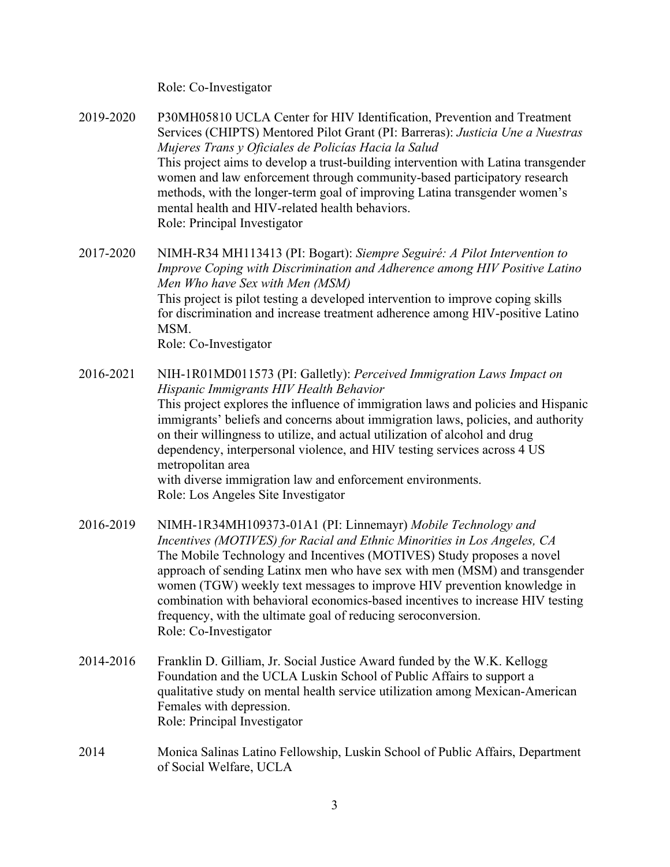Role: Co-Investigator

2019-2020 P30MH05810 UCLA Center for HIV Identification, Prevention and Treatment Services (CHIPTS) Mentored Pilot Grant (PI: Barreras): *Justicia Une a Nuestras Mujeres Trans y Oficiales de Policías Hacia la Salud* This project aims to develop a trust-building intervention with Latina transgender women and law enforcement through community-based participatory research methods, with the longer-term goal of improving Latina transgender women's mental health and HIV-related health behaviors. Role: Principal Investigator

2017-2020 NIMH-R34 MH113413 (PI: Bogart): *Siempre Seguiré: A Pilot Intervention to Improve Coping with Discrimination and Adherence among HIV Positive Latino Men Who have Sex with Men (MSM)* This project is pilot testing a developed intervention to improve coping skills for discrimination and increase treatment adherence among HIV-positive Latino MSM. Role: Co-Investigator

- 2016-2021 NIH-1R01MD011573 (PI: Galletly): *Perceived Immigration Laws Impact on Hispanic Immigrants HIV Health Behavior* This project explores the influence of immigration laws and policies and Hispanic immigrants' beliefs and concerns about immigration laws, policies, and authority on their willingness to utilize, and actual utilization of alcohol and drug dependency, interpersonal violence, and HIV testing services across 4 US metropolitan area with diverse immigration law and enforcement environments. Role: Los Angeles Site Investigator
- 2016-2019 NIMH-1R34MH109373-01A1 (PI: Linnemayr) *Mobile Technology and Incentives (MOTIVES) for Racial and Ethnic Minorities in Los Angeles, CA* The Mobile Technology and Incentives (MOTIVES) Study proposes a novel approach of sending Latinx men who have sex with men (MSM) and transgender women (TGW) weekly text messages to improve HIV prevention knowledge in combination with behavioral economics-based incentives to increase HIV testing frequency, with the ultimate goal of reducing seroconversion. Role: Co-Investigator
- 2014-2016 Franklin D. Gilliam, Jr. Social Justice Award funded by the W.K. Kellogg Foundation and the UCLA Luskin School of Public Affairs to support a qualitative study on mental health service utilization among Mexican-American Females with depression. Role: Principal Investigator
- 2014 Monica Salinas Latino Fellowship, Luskin School of Public Affairs, Department of Social Welfare, UCLA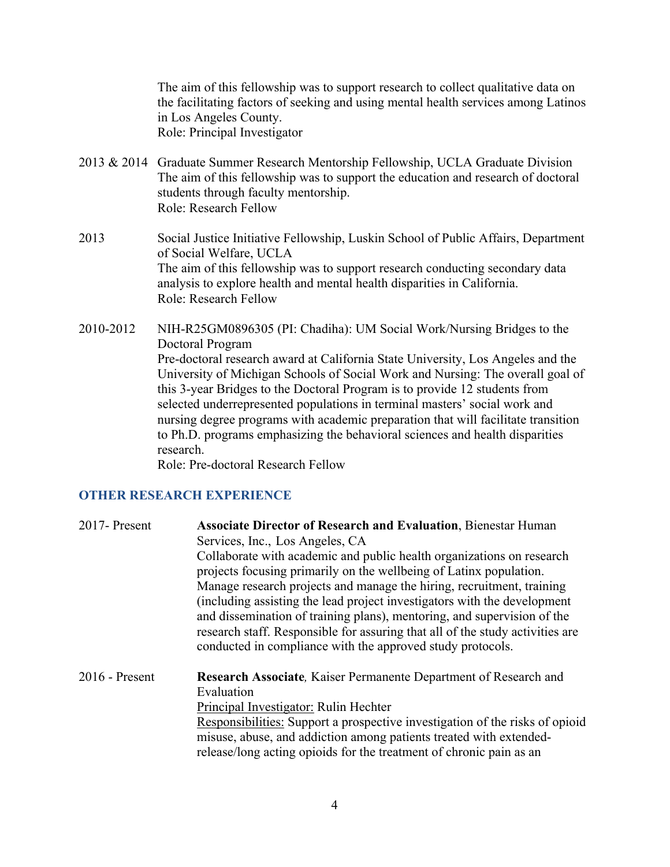The aim of this fellowship was to support research to collect qualitative data on the facilitating factors of seeking and using mental health services among Latinos in Los Angeles County. Role: Principal Investigator

- 2013 & 2014 Graduate Summer Research Mentorship Fellowship, UCLA Graduate Division The aim of this fellowship was to support the education and research of doctoral students through faculty mentorship. Role: Research Fellow
- 2013 Social Justice Initiative Fellowship, Luskin School of Public Affairs, Department of Social Welfare, UCLA The aim of this fellowship was to support research conducting secondary data analysis to explore health and mental health disparities in California. Role: Research Fellow
- 2010-2012 NIH-R25GM0896305 (PI: Chadiha): UM Social Work/Nursing Bridges to the Doctoral Program Pre-doctoral research award at California State University, Los Angeles and the University of Michigan Schools of Social Work and Nursing: The overall goal of this 3-year Bridges to the Doctoral Program is to provide 12 students from selected underrepresented populations in terminal masters' social work and nursing degree programs with academic preparation that will facilitate transition to Ph.D. programs emphasizing the behavioral sciences and health disparities research.

Role: Pre-doctoral Research Fellow

### **OTHER RESEARCH EXPERIENCE**

| 2017- Present    | <b>Associate Director of Research and Evaluation, Bienestar Human</b><br>Services, Inc., Los Angeles, CA<br>Collaborate with academic and public health organizations on research<br>projects focusing primarily on the wellbeing of Latinx population.<br>Manage research projects and manage the hiring, recruitment, training<br>(including assisting the lead project investigators with the development<br>and dissemination of training plans), mentoring, and supervision of the<br>research staff. Responsible for assuring that all of the study activities are<br>conducted in compliance with the approved study protocols. |
|------------------|----------------------------------------------------------------------------------------------------------------------------------------------------------------------------------------------------------------------------------------------------------------------------------------------------------------------------------------------------------------------------------------------------------------------------------------------------------------------------------------------------------------------------------------------------------------------------------------------------------------------------------------|
| $2016$ - Present | Research Associate, Kaiser Permanente Department of Research and<br>Evaluation<br>Principal Investigator: Rulin Hechter<br>Responsibilities: Support a prospective investigation of the risks of opioid<br>misuse, abuse, and addiction among patients treated with extended-<br>release/long acting opioids for the treatment of chronic pain as an                                                                                                                                                                                                                                                                                   |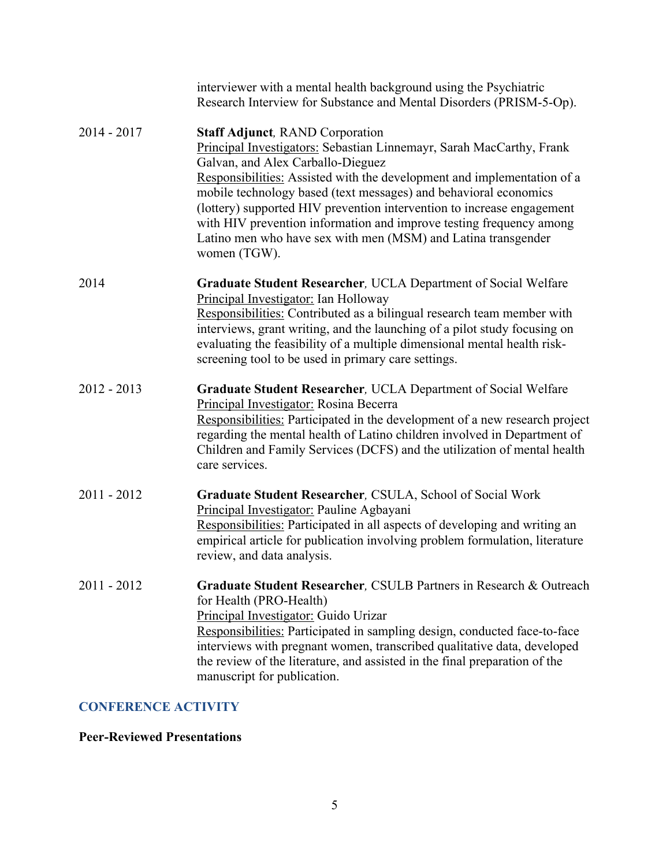|               | interviewer with a mental health background using the Psychiatric<br>Research Interview for Substance and Mental Disorders (PRISM-5-Op).                                                                                                                                                                                                                                                                                                                                                                                             |
|---------------|--------------------------------------------------------------------------------------------------------------------------------------------------------------------------------------------------------------------------------------------------------------------------------------------------------------------------------------------------------------------------------------------------------------------------------------------------------------------------------------------------------------------------------------|
| $2014 - 2017$ | <b>Staff Adjunct, RAND Corporation</b><br>Principal Investigators: Sebastian Linnemayr, Sarah MacCarthy, Frank<br>Galvan, and Alex Carballo-Dieguez<br>Responsibilities: Assisted with the development and implementation of a<br>mobile technology based (text messages) and behavioral economics<br>(lottery) supported HIV prevention intervention to increase engagement<br>with HIV prevention information and improve testing frequency among<br>Latino men who have sex with men (MSM) and Latina transgender<br>women (TGW). |
| 2014          | <b>Graduate Student Researcher, UCLA Department of Social Welfare</b><br>Principal Investigator: Ian Holloway<br>Responsibilities: Contributed as a bilingual research team member with<br>interviews, grant writing, and the launching of a pilot study focusing on<br>evaluating the feasibility of a multiple dimensional mental health risk-<br>screening tool to be used in primary care settings.                                                                                                                              |
| $2012 - 2013$ | <b>Graduate Student Researcher, UCLA Department of Social Welfare</b><br>Principal Investigator: Rosina Becerra<br>Responsibilities: Participated in the development of a new research project<br>regarding the mental health of Latino children involved in Department of<br>Children and Family Services (DCFS) and the utilization of mental health<br>care services.                                                                                                                                                             |
| $2011 - 2012$ | Graduate Student Researcher, CSULA, School of Social Work<br>Principal Investigator: Pauline Agbayani<br>Responsibilities: Participated in all aspects of developing and writing an<br>empirical article for publication involving problem formulation, literature<br>review, and data analysis.                                                                                                                                                                                                                                     |
| $2011 - 2012$ | Graduate Student Researcher, CSULB Partners in Research & Outreach<br>for Health (PRO-Health)<br>Principal Investigator: Guido Urizar<br>Responsibilities: Participated in sampling design, conducted face-to-face<br>interviews with pregnant women, transcribed qualitative data, developed<br>the review of the literature, and assisted in the final preparation of the<br>manuscript for publication.                                                                                                                           |

# **CONFERENCE ACTIVITY**

# **Peer-Reviewed Presentations**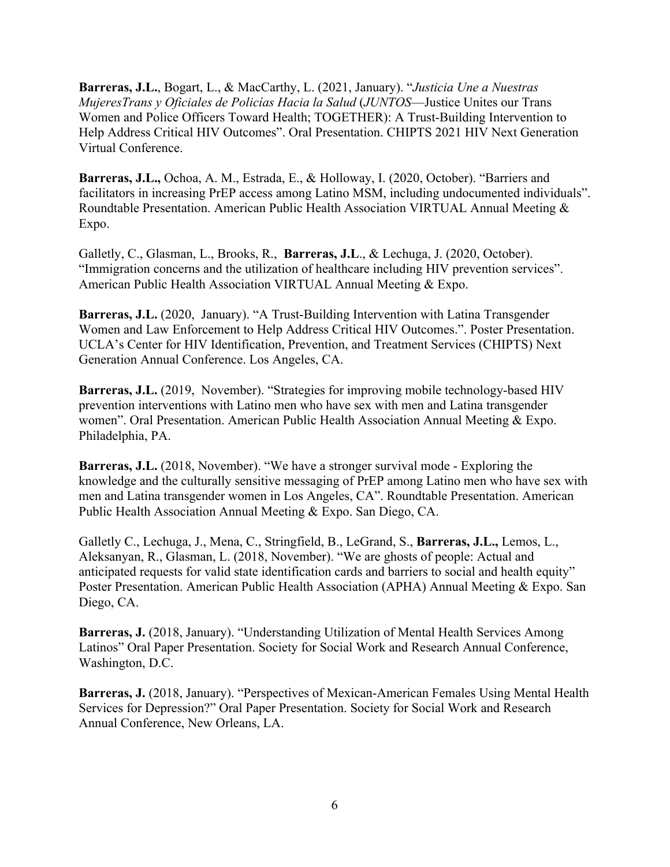**Barreras, J.L.**, Bogart, L., & MacCarthy, L. (2021, January). "*Justicia Une a Nuestras MujeresTrans y Oficiales de Policías Hacia la Salud* (*JUNTOS*—Justice Unites our Trans Women and Police Officers Toward Health; TOGETHER): A Trust-Building Intervention to Help Address Critical HIV Outcomes". Oral Presentation. CHIPTS 2021 HIV Next Generation Virtual Conference.

**Barreras, J.L.,** Ochoa, A. M., Estrada, E., & Holloway, I. (2020, October). "Barriers and facilitators in increasing PrEP access among Latino MSM, including undocumented individuals". Roundtable Presentation. American Public Health Association VIRTUAL Annual Meeting & Expo.

Galletly, C., Glasman, L., Brooks, R., **Barreras, J.L**., & Lechuga, J. (2020, October). "Immigration concerns and the utilization of healthcare including HIV prevention services". American Public Health Association VIRTUAL Annual Meeting & Expo.

**Barreras, J.L.** (2020, January). "A Trust-Building Intervention with Latina Transgender Women and Law Enforcement to Help Address Critical HIV Outcomes.". Poster Presentation. UCLA's Center for HIV Identification, Prevention, and Treatment Services (CHIPTS) Next Generation Annual Conference. Los Angeles, CA.

**Barreras, J.L.** (2019, November). "Strategies for improving mobile technology-based HIV prevention interventions with Latino men who have sex with men and Latina transgender women". Oral Presentation. American Public Health Association Annual Meeting & Expo. Philadelphia, PA.

**Barreras, J.L.** (2018, November). "We have a stronger survival mode - Exploring the knowledge and the culturally sensitive messaging of PrEP among Latino men who have sex with men and Latina transgender women in Los Angeles, CA". Roundtable Presentation. American Public Health Association Annual Meeting & Expo. San Diego, CA.

Galletly C., Lechuga, J., Mena, C., Stringfield, B., LeGrand, S., **Barreras, J.L.,** Lemos, L., Aleksanyan, R., Glasman, L. (2018, November). "We are ghosts of people: Actual and anticipated requests for valid state identification cards and barriers to social and health equity" Poster Presentation. American Public Health Association (APHA) Annual Meeting & Expo. San Diego, CA.

**Barreras, J.** (2018, January). "Understanding Utilization of Mental Health Services Among Latinos" Oral Paper Presentation. Society for Social Work and Research Annual Conference, Washington, D.C.

**Barreras, J.** (2018, January). "Perspectives of Mexican-American Females Using Mental Health Services for Depression?" Oral Paper Presentation. Society for Social Work and Research Annual Conference, New Orleans, LA.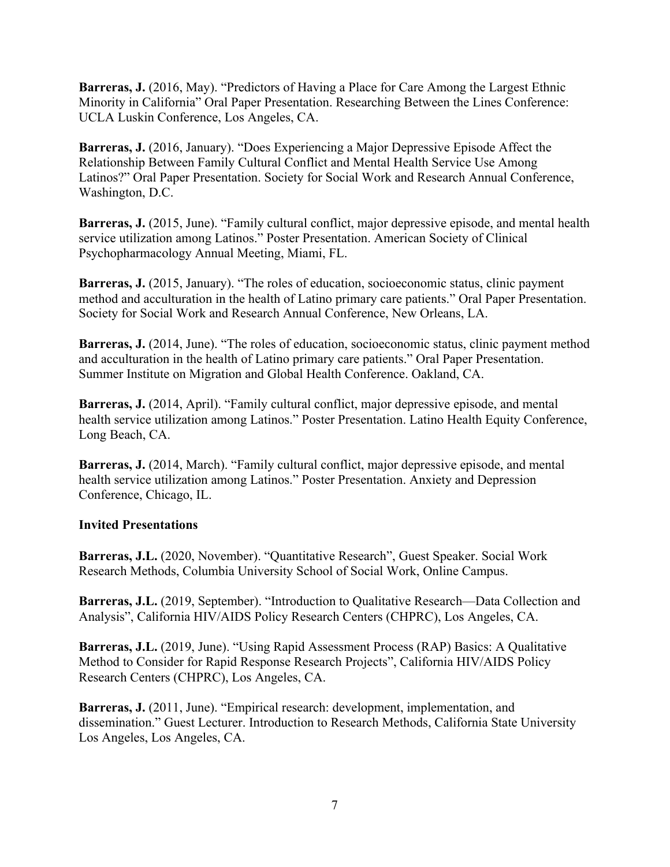**Barreras, J.** (2016, May). "Predictors of Having a Place for Care Among the Largest Ethnic Minority in California" Oral Paper Presentation. Researching Between the Lines Conference: UCLA Luskin Conference, Los Angeles, CA.

**Barreras, J.** (2016, January). "Does Experiencing a Major Depressive Episode Affect the Relationship Between Family Cultural Conflict and Mental Health Service Use Among Latinos?" Oral Paper Presentation. Society for Social Work and Research Annual Conference, Washington, D.C.

**Barreras, J.** (2015, June). "Family cultural conflict, major depressive episode, and mental health service utilization among Latinos." Poster Presentation. American Society of Clinical Psychopharmacology Annual Meeting, Miami, FL.

**Barreras, J.** (2015, January). "The roles of education, socioeconomic status, clinic payment method and acculturation in the health of Latino primary care patients." Oral Paper Presentation. Society for Social Work and Research Annual Conference, New Orleans, LA.

**Barreras, J.** (2014, June). "The roles of education, socioeconomic status, clinic payment method and acculturation in the health of Latino primary care patients." Oral Paper Presentation. Summer Institute on Migration and Global Health Conference. Oakland, CA.

**Barreras, J.** (2014, April). "Family cultural conflict, major depressive episode, and mental health service utilization among Latinos." Poster Presentation. Latino Health Equity Conference, Long Beach, CA.

**Barreras, J.** (2014, March). "Family cultural conflict, major depressive episode, and mental health service utilization among Latinos." Poster Presentation. Anxiety and Depression Conference, Chicago, IL.

## **Invited Presentations**

**Barreras, J.L.** (2020, November). "Quantitative Research", Guest Speaker. Social Work Research Methods, Columbia University School of Social Work, Online Campus.

**Barreras, J.L.** (2019, September). "Introduction to Qualitative Research—Data Collection and Analysis", California HIV/AIDS Policy Research Centers (CHPRC), Los Angeles, CA.

**Barreras, J.L.** (2019, June). "Using Rapid Assessment Process (RAP) Basics: A Qualitative Method to Consider for Rapid Response Research Projects", California HIV/AIDS Policy Research Centers (CHPRC), Los Angeles, CA.

**Barreras, J.** (2011, June). "Empirical research: development, implementation, and dissemination." Guest Lecturer. Introduction to Research Methods, California State University Los Angeles, Los Angeles, CA.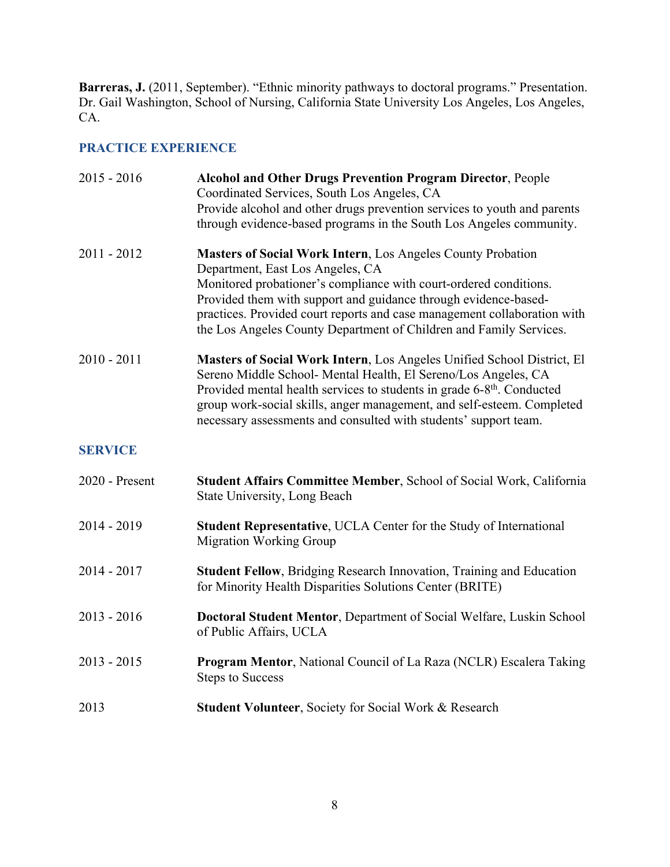**Barreras, J.** (2011, September). "Ethnic minority pathways to doctoral programs." Presentation. Dr. Gail Washington, School of Nursing, California State University Los Angeles, Los Angeles, CA.

# **PRACTICE EXPERIENCE**

| $2015 - 2016$  | <b>Alcohol and Other Drugs Prevention Program Director, People</b><br>Coordinated Services, South Los Angeles, CA                                                                                                                                                                                                                                                            |
|----------------|------------------------------------------------------------------------------------------------------------------------------------------------------------------------------------------------------------------------------------------------------------------------------------------------------------------------------------------------------------------------------|
|                | Provide alcohol and other drugs prevention services to youth and parents<br>through evidence-based programs in the South Los Angeles community.                                                                                                                                                                                                                              |
| $2011 - 2012$  | <b>Masters of Social Work Intern, Los Angeles County Probation</b><br>Department, East Los Angeles, CA                                                                                                                                                                                                                                                                       |
|                | Monitored probationer's compliance with court-ordered conditions.<br>Provided them with support and guidance through evidence-based-<br>practices. Provided court reports and case management collaboration with<br>the Los Angeles County Department of Children and Family Services.                                                                                       |
| $2010 - 2011$  | Masters of Social Work Intern, Los Angeles Unified School District, El<br>Sereno Middle School- Mental Health, El Sereno/Los Angeles, CA<br>Provided mental health services to students in grade 6-8 <sup>th</sup> . Conducted<br>group work-social skills, anger management, and self-esteem. Completed<br>necessary assessments and consulted with students' support team. |
| <b>SERVICE</b> |                                                                                                                                                                                                                                                                                                                                                                              |
| 2020 - Present | Student Affairs Committee Member, School of Social Work, California<br>State University, Long Beach                                                                                                                                                                                                                                                                          |
| $2014 - 2019$  | Student Representative, UCLA Center for the Study of International<br><b>Migration Working Group</b>                                                                                                                                                                                                                                                                         |
| 2014 - 2017    | <b>Student Fellow, Bridging Research Innovation, Training and Education</b><br>for Minority Health Disparities Solutions Center (BRITE)                                                                                                                                                                                                                                      |
| $2013 - 2016$  | Doctoral Student Mentor, Department of Social Welfare, Luskin School<br>of Public Affairs, UCLA                                                                                                                                                                                                                                                                              |
| $2013 - 2015$  | <b>Program Mentor, National Council of La Raza (NCLR) Escalera Taking</b><br><b>Steps to Success</b>                                                                                                                                                                                                                                                                         |
| 2013           | <b>Student Volunteer, Society for Social Work &amp; Research</b>                                                                                                                                                                                                                                                                                                             |